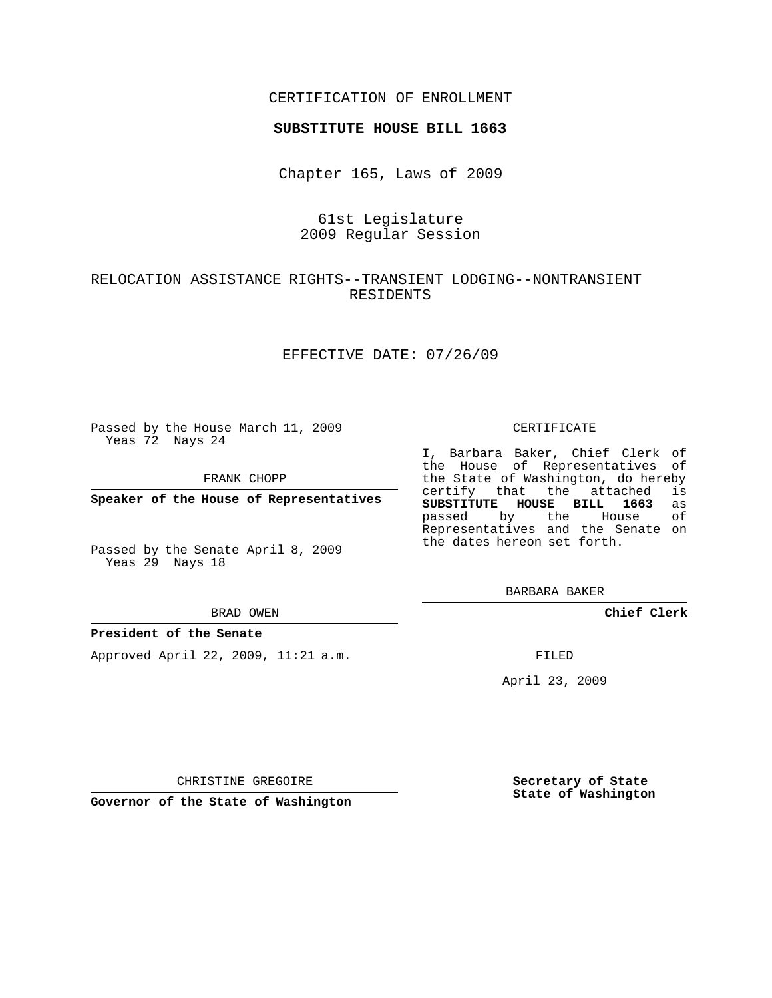## CERTIFICATION OF ENROLLMENT

## **SUBSTITUTE HOUSE BILL 1663**

Chapter 165, Laws of 2009

## 61st Legislature 2009 Regular Session

# RELOCATION ASSISTANCE RIGHTS--TRANSIENT LODGING--NONTRANSIENT RESIDENTS

## EFFECTIVE DATE: 07/26/09

Passed by the House March 11, 2009 Yeas 72 Nays 24

FRANK CHOPP

**Speaker of the House of Representatives**

Passed by the Senate April 8, 2009 Yeas 29 Nays 18

#### BRAD OWEN

## **President of the Senate**

Approved April 22, 2009, 11:21 a.m.

#### CERTIFICATE

I, Barbara Baker, Chief Clerk of the House of Representatives of the State of Washington, do hereby<br>certify that the attached is certify that the attached **SUBSTITUTE HOUSE BILL 1663** as passed by the Representatives and the Senate on the dates hereon set forth.

BARBARA BAKER

**Chief Clerk**

FILED

April 23, 2009

**Governor of the State of Washington**

CHRISTINE GREGOIRE

**Secretary of State State of Washington**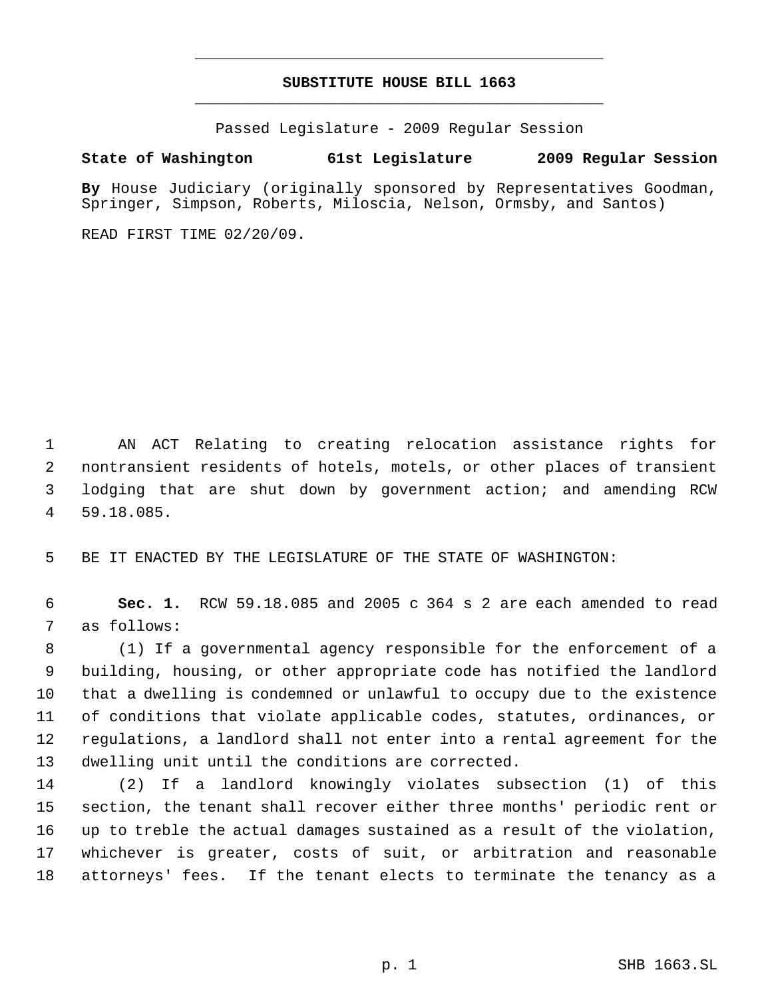# **SUBSTITUTE HOUSE BILL 1663** \_\_\_\_\_\_\_\_\_\_\_\_\_\_\_\_\_\_\_\_\_\_\_\_\_\_\_\_\_\_\_\_\_\_\_\_\_\_\_\_\_\_\_\_\_

\_\_\_\_\_\_\_\_\_\_\_\_\_\_\_\_\_\_\_\_\_\_\_\_\_\_\_\_\_\_\_\_\_\_\_\_\_\_\_\_\_\_\_\_\_

Passed Legislature - 2009 Regular Session

# **State of Washington 61st Legislature 2009 Regular Session**

**By** House Judiciary (originally sponsored by Representatives Goodman, Springer, Simpson, Roberts, Miloscia, Nelson, Ormsby, and Santos)

READ FIRST TIME 02/20/09.

 AN ACT Relating to creating relocation assistance rights for nontransient residents of hotels, motels, or other places of transient lodging that are shut down by government action; and amending RCW 59.18.085.

BE IT ENACTED BY THE LEGISLATURE OF THE STATE OF WASHINGTON:

 **Sec. 1.** RCW 59.18.085 and 2005 c 364 s 2 are each amended to read as follows:

 (1) If a governmental agency responsible for the enforcement of a building, housing, or other appropriate code has notified the landlord that a dwelling is condemned or unlawful to occupy due to the existence of conditions that violate applicable codes, statutes, ordinances, or regulations, a landlord shall not enter into a rental agreement for the dwelling unit until the conditions are corrected.

 (2) If a landlord knowingly violates subsection (1) of this section, the tenant shall recover either three months' periodic rent or up to treble the actual damages sustained as a result of the violation, whichever is greater, costs of suit, or arbitration and reasonable attorneys' fees. If the tenant elects to terminate the tenancy as a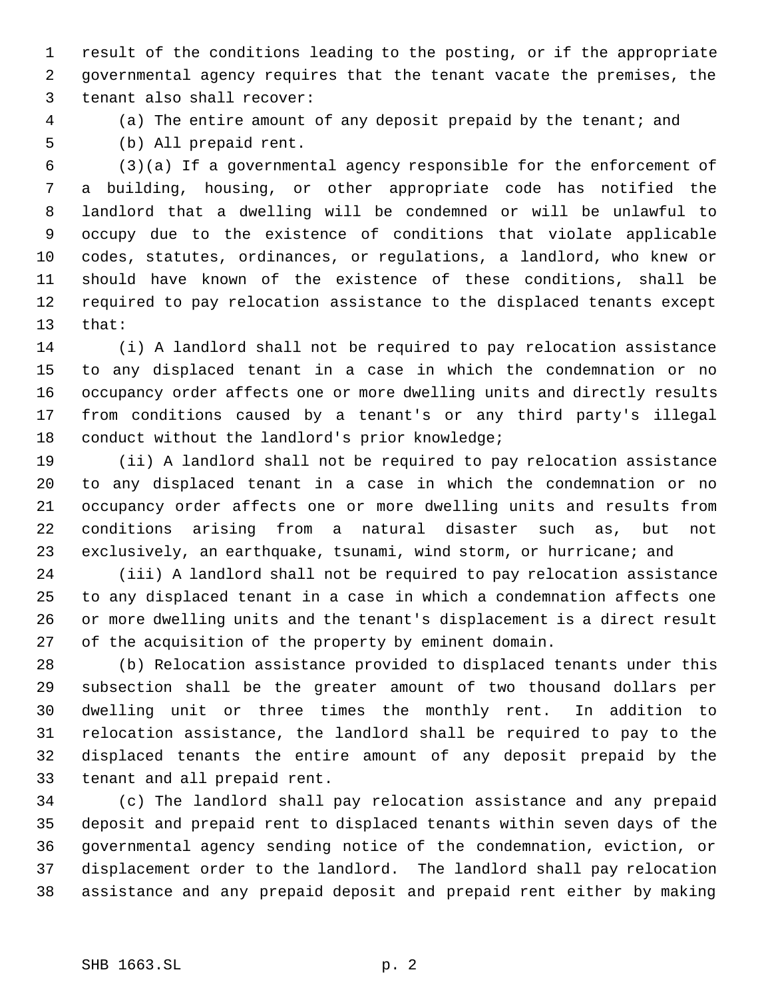result of the conditions leading to the posting, or if the appropriate governmental agency requires that the tenant vacate the premises, the tenant also shall recover:

(a) The entire amount of any deposit prepaid by the tenant; and

(b) All prepaid rent.

 (3)(a) If a governmental agency responsible for the enforcement of a building, housing, or other appropriate code has notified the landlord that a dwelling will be condemned or will be unlawful to occupy due to the existence of conditions that violate applicable codes, statutes, ordinances, or regulations, a landlord, who knew or should have known of the existence of these conditions, shall be required to pay relocation assistance to the displaced tenants except that:

 (i) A landlord shall not be required to pay relocation assistance to any displaced tenant in a case in which the condemnation or no occupancy order affects one or more dwelling units and directly results from conditions caused by a tenant's or any third party's illegal conduct without the landlord's prior knowledge;

 (ii) A landlord shall not be required to pay relocation assistance to any displaced tenant in a case in which the condemnation or no occupancy order affects one or more dwelling units and results from conditions arising from a natural disaster such as, but not exclusively, an earthquake, tsunami, wind storm, or hurricane; and

 (iii) A landlord shall not be required to pay relocation assistance to any displaced tenant in a case in which a condemnation affects one or more dwelling units and the tenant's displacement is a direct result of the acquisition of the property by eminent domain.

 (b) Relocation assistance provided to displaced tenants under this subsection shall be the greater amount of two thousand dollars per dwelling unit or three times the monthly rent. In addition to relocation assistance, the landlord shall be required to pay to the displaced tenants the entire amount of any deposit prepaid by the tenant and all prepaid rent.

 (c) The landlord shall pay relocation assistance and any prepaid deposit and prepaid rent to displaced tenants within seven days of the governmental agency sending notice of the condemnation, eviction, or displacement order to the landlord. The landlord shall pay relocation assistance and any prepaid deposit and prepaid rent either by making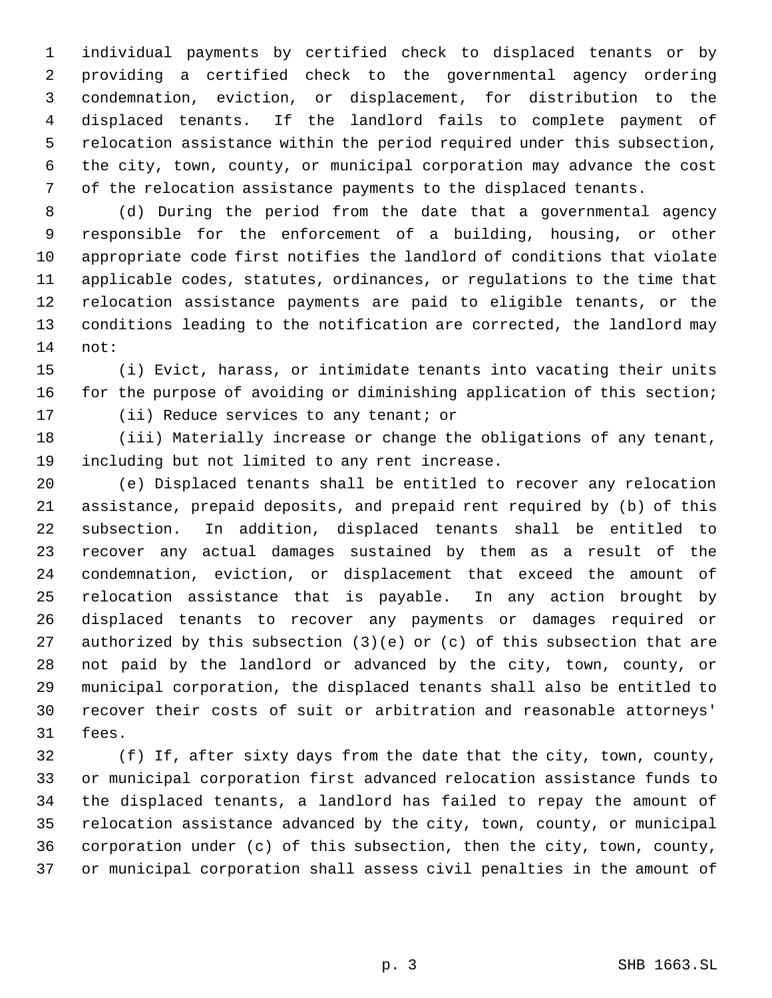individual payments by certified check to displaced tenants or by providing a certified check to the governmental agency ordering condemnation, eviction, or displacement, for distribution to the displaced tenants. If the landlord fails to complete payment of relocation assistance within the period required under this subsection, the city, town, county, or municipal corporation may advance the cost of the relocation assistance payments to the displaced tenants.

 (d) During the period from the date that a governmental agency responsible for the enforcement of a building, housing, or other appropriate code first notifies the landlord of conditions that violate applicable codes, statutes, ordinances, or regulations to the time that relocation assistance payments are paid to eligible tenants, or the conditions leading to the notification are corrected, the landlord may not:

 (i) Evict, harass, or intimidate tenants into vacating their units for the purpose of avoiding or diminishing application of this section; 17 (ii) Reduce services to any tenant; or

 (iii) Materially increase or change the obligations of any tenant, including but not limited to any rent increase.

 (e) Displaced tenants shall be entitled to recover any relocation assistance, prepaid deposits, and prepaid rent required by (b) of this subsection. In addition, displaced tenants shall be entitled to recover any actual damages sustained by them as a result of the condemnation, eviction, or displacement that exceed the amount of relocation assistance that is payable. In any action brought by displaced tenants to recover any payments or damages required or authorized by this subsection (3)(e) or (c) of this subsection that are not paid by the landlord or advanced by the city, town, county, or municipal corporation, the displaced tenants shall also be entitled to recover their costs of suit or arbitration and reasonable attorneys' fees.

 (f) If, after sixty days from the date that the city, town, county, or municipal corporation first advanced relocation assistance funds to the displaced tenants, a landlord has failed to repay the amount of relocation assistance advanced by the city, town, county, or municipal corporation under (c) of this subsection, then the city, town, county, or municipal corporation shall assess civil penalties in the amount of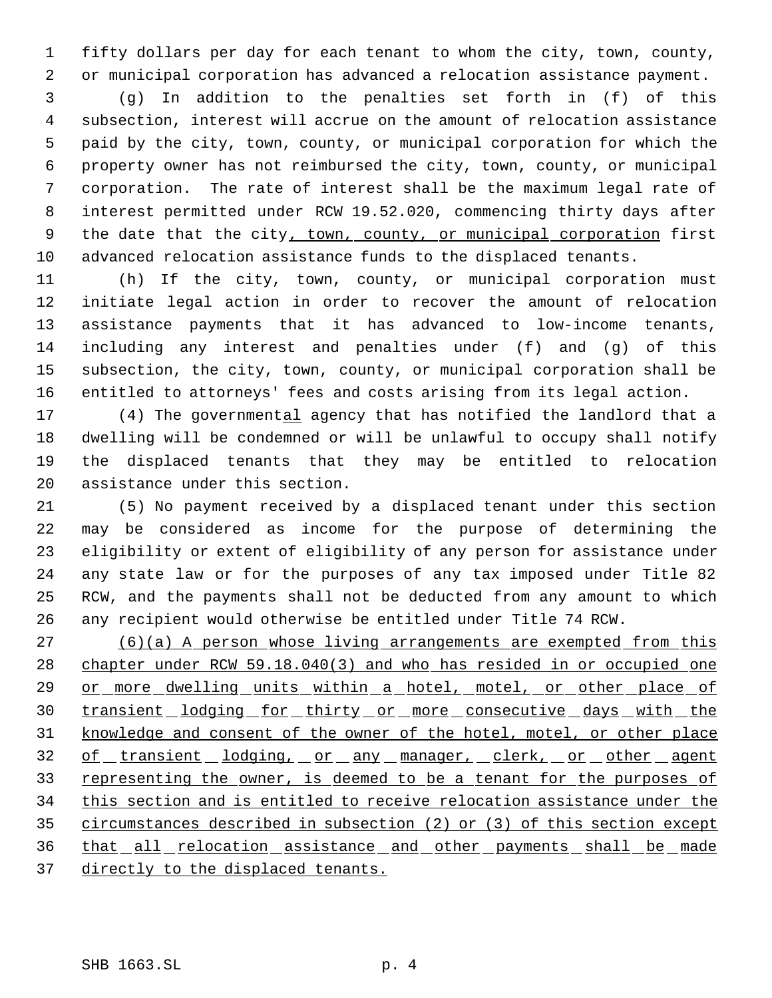fifty dollars per day for each tenant to whom the city, town, county, or municipal corporation has advanced a relocation assistance payment.

 (g) In addition to the penalties set forth in (f) of this subsection, interest will accrue on the amount of relocation assistance paid by the city, town, county, or municipal corporation for which the property owner has not reimbursed the city, town, county, or municipal corporation. The rate of interest shall be the maximum legal rate of interest permitted under RCW 19.52.020, commencing thirty days after 9 the date that the city, town, county, or municipal corporation first advanced relocation assistance funds to the displaced tenants.

 (h) If the city, town, county, or municipal corporation must initiate legal action in order to recover the amount of relocation assistance payments that it has advanced to low-income tenants, including any interest and penalties under (f) and (g) of this subsection, the city, town, county, or municipal corporation shall be entitled to attorneys' fees and costs arising from its legal action.

17 (4) The governmental agency that has notified the landlord that a dwelling will be condemned or will be unlawful to occupy shall notify the displaced tenants that they may be entitled to relocation assistance under this section.

 (5) No payment received by a displaced tenant under this section may be considered as income for the purpose of determining the eligibility or extent of eligibility of any person for assistance under any state law or for the purposes of any tax imposed under Title 82 RCW, and the payments shall not be deducted from any amount to which any recipient would otherwise be entitled under Title 74 RCW.

 (6)(a) A person whose living arrangements are exempted from this chapter under RCW 59.18.040(3) and who has resided in or occupied one 29 or more dwelling units within a hotel, motel, or other place of 30 transient lodging for thirty or more consecutive days with the knowledge and consent of the owner of the hotel, motel, or other place 32 of transient lodging, or any manager, clerk, or other agent 33 representing the owner, is deemed to be a tenant for the purposes of this section and is entitled to receive relocation assistance under the circumstances described in subsection (2) or (3) of this section except 36 that all relocation assistance and other payments shall be made 37 directly to the displaced tenants.